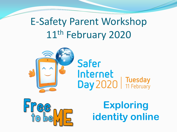# E-Safety Parent Workshop 11th February 2020



# Safer Internet<br>Day 2020 | Tuesday



**Exploring identity online**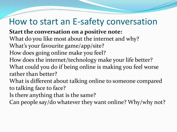### How to start an E-safety conversation

- **Start the conversation on a positive note:**
- What do you like most about the internet and why?
- What's your favourite game/app/site?
- How does going online make you feel?
- How does the internet/technology make your life better? What could you do if being online is making you feel worse rather than better?
- What is different about talking online to someone compared to talking face to face?
- Is there anything that is the same?
- Can people say/do whatever they want online? Why/why not?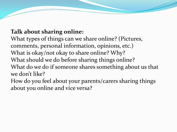### **Talk about sharing online:**

What types of things can we share online? (Pictures, comments, personal information, opinions, etc.) What is okay/not okay to share online? Why? What should we do before sharing things online? What do we do if someone shares something about us that we don't like?

How do you feel about your parents/carers sharing things about you online and vice versa?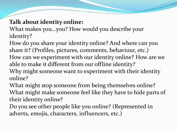### **Talk about identity online:**

What makes you…you? How would you describe your identity?

How do you share your identity online? And where can you share it? (Profiles, pictures, comments, behaviour, etc.) How can we experiment with our identity online? How are we able to make it different from our offline identity? Why might someone want to experiment with their identity

online?

What might stop someone from being themselves online? What might make someone feel like they have to hide parts of their identity online?

Do you see other people like you online? (Represented in adverts, emojis, characters, influencers, etc.)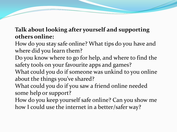### **Talk about looking after yourself and supporting others online:**

How do you stay safe online? What tips do you have and where did you learn them?

Do you know where to go for help, and where to find the safety tools on your favourite apps and games?

What could you do if someone was unkind to you online about the things you've shared?

What could you do if you saw a friend online needed some help or support?

How do you keep yourself safe online? Can you show me how I could use the internet in a better/safer way?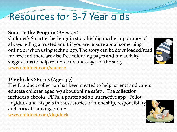## Resources for 3-7 Year olds

#### **Smartie the Penguin (Ages 3-7)**

Childnet's Smartie the Penguin story highlights the importance of always telling a trusted adult if you are unsure about something online or when using technology. The story can be downloaded/read for free and there are also free colouring pages and fun activity suggestions to help reinforce the messages of the story. [www.childnet.com/smartie](http://www.childnet.com/smartie)

#### **Digiduck's Stories (Ages 3-7)**

The Digiduck collection has been created to help parents and carers educate children aged 3-7 about online safety. The collection includes a ebooks, PDFs, a poster and an interactive app. Follow Digiduck and his pals in these stories of friendship, responsibility and critical thinking online.

[www.childnet.com/digiduck](http://www.childnet.com/digiduck)



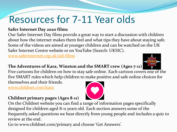# Resources for 7-11 Year olds

#### **Safer Internet Day 2020 films**

Our Safer Internet Day films provide a great way to start a discussion with children about how the internet makes them feel and what tips they have about staying safe. Some of the videos are aimed at younger children and can be watched on the UK Safer Internet Centre website or on YouTube (Search: UKSIC).

[www.saferinternet.org.uk/sid-films](http://www.saferinternet.org.uk/sid-films)

#### **The Adventures of Kara, Winston and the SMART crew (Ages 7-11)**

Five cartoons for children on how to stay safe online. Each cartoon covers one of the five SMART rules which help children to make positive and safe online choices for themselves and their friends.

[www.childnet.com/kara](http://www.childnet.com/kara)

#### **Childnet primary pages (Ages 8-11)**

On the Childnet website you can find a range of information pages specifically

designed for children aged 8-11 years old. Each section answers some of the frequently asked questions we hear directly from young people and includes a quiz to review at the end.

Go to www.childnet.com/primary and choose 'Get Answers'.



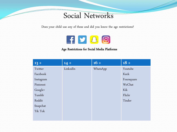### Social Networks

Does your child use any of these and did you know the age restrictions?



#### Age Restrictions for Social Media Platforms

| $13 +$    | $14 +$   | $16 +$   | $18 +$     |
|-----------|----------|----------|------------|
| Twitter   | LinkedIn | WhatsApp | Youtube    |
| Facebook  |          |          | Keek       |
| Instagram |          |          | Foursquare |
| Pinterest |          |          | WeChat     |
| Google+   |          |          | Kik        |
| Tumblr    |          |          | Flickr     |
| Reddit    |          |          | Tinder     |
| Snapchat  |          |          |            |
| Tik Tok   |          |          |            |
|           |          |          |            |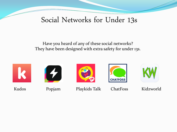### Social Networks for Under 13s

Have you heard of any of these social networks? They have been designed with extra safety for under 13s.

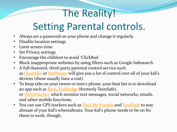# The Reality!

# Setting Parental controls.

- Always set a password on your phone and change it regularly
- Disable location settings
- Limit screen time
- **Set Privacy settings**
- Encourage the children to avoid 'ClickBait'
- Block inappropriate websites by using filters such as Google Safesearch
- A full-featured, third-party parental control service such as **[Qustodio](https://www.qustodio.com/en/)** or [NetNanny](http://www.netnanny.com/) will give you a lot of control over all of your kid's devices (these usually have a cost)
- To keep tabs on your tween or teen's phone, your best bet is to download an app such as **[Bark](http://www.bark.us/)**, [KidBridge](https://kidbridge.com/) (formerly TeenSafe), or [WebWatcher,](https://www.webwatcher.com/) which monitor text messages, social networks, emails, and other mobile functions.
- You can use GPS trackers such as **[Find My Friends](https://www.commonsensemedia.org/app-reviews/find-my-friends)** and **[FamiSafe](https://famisafe.wondershare.com/ad/parental-control-mobile.html)** to stay abreast of your kid's whereabouts. Your kid's phone needs to be on for these to work, though.